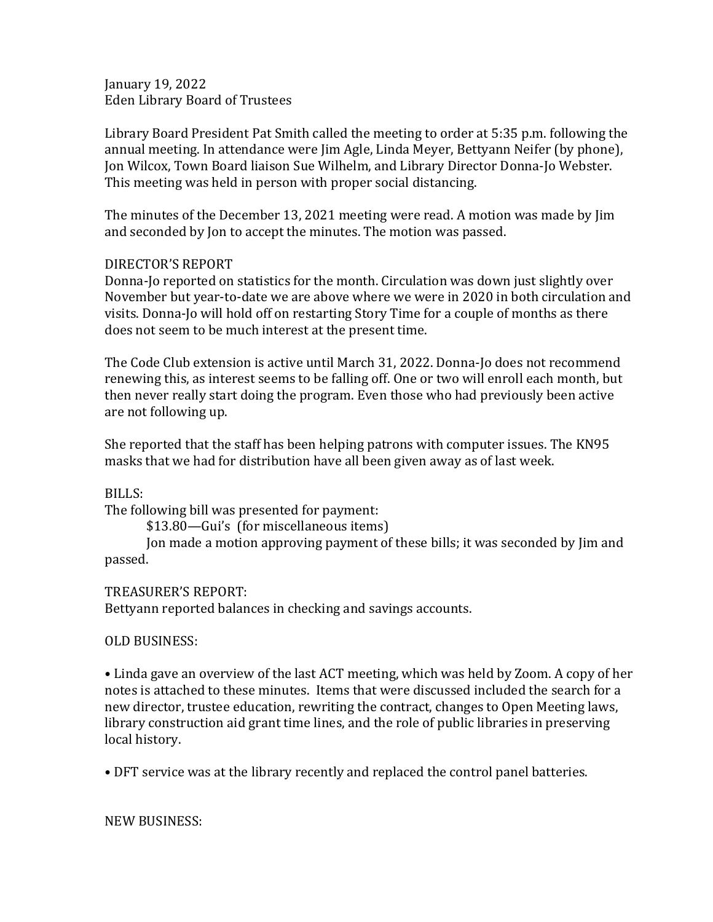January 19, 2022 Eden Library Board of Trustees

Library Board President Pat Smith called the meeting to order at 5:35 p.m. following the annual meeting. In attendance were Jim Agle, Linda Meyer, Bettyann Neifer (by phone), Jon Wilcox, Town Board liaison Sue Wilhelm, and Library Director Donna-Jo Webster. This meeting was held in person with proper social distancing.

The minutes of the December 13, 2021 meeting were read. A motion was made by Jim and seconded by Jon to accept the minutes. The motion was passed.

## DIRECTOR'S REPORT

Donna-Jo reported on statistics for the month. Circulation was down just slightly over November but year-to-date we are above where we were in 2020 in both circulation and visits. Donna-Jo will hold off on restarting Story Time for a couple of months as there does not seem to be much interest at the present time.

The Code Club extension is active until March 31, 2022. Donna-Jo does not recommend renewing this, as interest seems to be falling off. One or two will enroll each month, but then never really start doing the program. Even those who had previously been active are not following up.

She reported that the staff has been helping patrons with computer issues. The KN95 masks that we had for distribution have all been given away as of last week.

BILLS:

The following bill was presented for payment:

\$13.80—Gui's (for miscellaneous items)

Jon made a motion approving payment of these bills; it was seconded by Jim and passed.

TREASURER'S REPORT:

Bettyann reported balances in checking and savings accounts.

OLD BUSINESS:

• Linda gave an overview of the last ACT meeting, which was held by Zoom. A copy of her notes is attached to these minutes. Items that were discussed included the search for a new director, trustee education, rewriting the contract, changes to Open Meeting laws, library construction aid grant time lines, and the role of public libraries in preserving local history.

• DFT service was at the library recently and replaced the control panel batteries.

NEW BUSINESS: